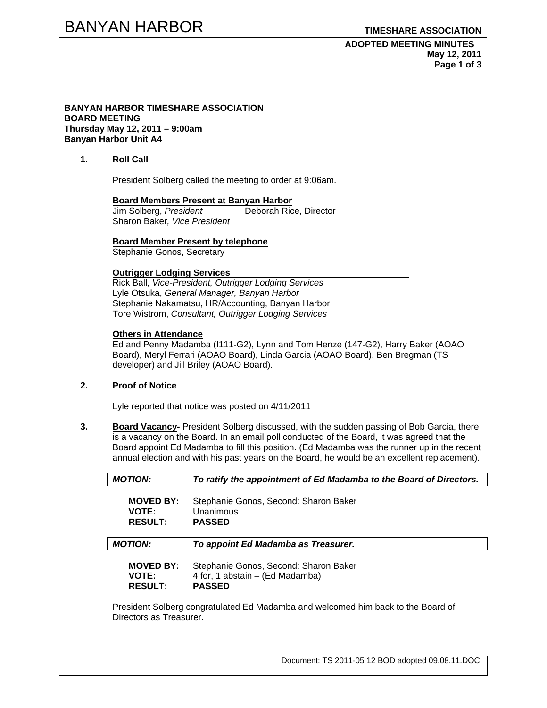#### **BANYAN HARBOR TIMESHARE ASSOCIATION BOARD MEETING Thursday May 12, 2011 – 9:00am Banyan Harbor Unit A4**

## **1. Roll Call**

President Solberg called the meeting to order at 9:06am.

#### **Board Members Present at Banyan Harbor**

Jim Solberg, *President* Deborah Rice, Director Sharon Baker*, Vice President* 

#### **Board Member Present by telephone**

Stephanie Gonos, Secretary

#### **Outrigger Lodging Services**

Rick Ball, *Vice-President, Outrigger Lodging Services* Lyle Otsuka, *General Manager, Banyan Harbor*  Stephanie Nakamatsu, HR/Accounting, Banyan Harbor Tore Wistrom, *Consultant, Outrigger Lodging Services* 

### **Others in Attendance**

Ed and Penny Madamba (I111-G2), Lynn and Tom Henze (147-G2), Harry Baker (AOAO Board), Meryl Ferrari (AOAO Board), Linda Garcia (AOAO Board), Ben Bregman (TS developer) and Jill Briley (AOAO Board).

## **2. Proof of Notice**

Lyle reported that notice was posted on 4/11/2011

**3. Board Vacancy-** President Solberg discussed, with the sudden passing of Bob Garcia, there is a vacancy on the Board. In an email poll conducted of the Board, it was agreed that the Board appoint Ed Madamba to fill this position. (Ed Madamba was the runner up in the recent annual election and with his past years on the Board, he would be an excellent replacement).

| <b>MOTION:</b>   | To ratify the appointment of Ed Madamba to the Board of Directors. |
|------------------|--------------------------------------------------------------------|
| <b>MOVED BY:</b> | Stephanie Gonos, Second: Sharon Baker                              |
| <b>VOTE:</b>     | Unanimous                                                          |
| <b>RESULT:</b>   | <b>PASSED</b>                                                      |
| <b>MOTION:</b>   | To appoint Ed Madamba as Treasurer.                                |
| <b>MOVED BY:</b> | Stephanie Gonos, Second: Sharon Baker                              |
| <b>VOTE:</b>     | 4 for, 1 abstain – (Ed Madamba)                                    |
| <b>RESULT:</b>   | <b>PASSED</b>                                                      |

President Solberg congratulated Ed Madamba and welcomed him back to the Board of Directors as Treasurer.

Document: TS 2011-05 12 BOD adopted 09.08.11.DOC.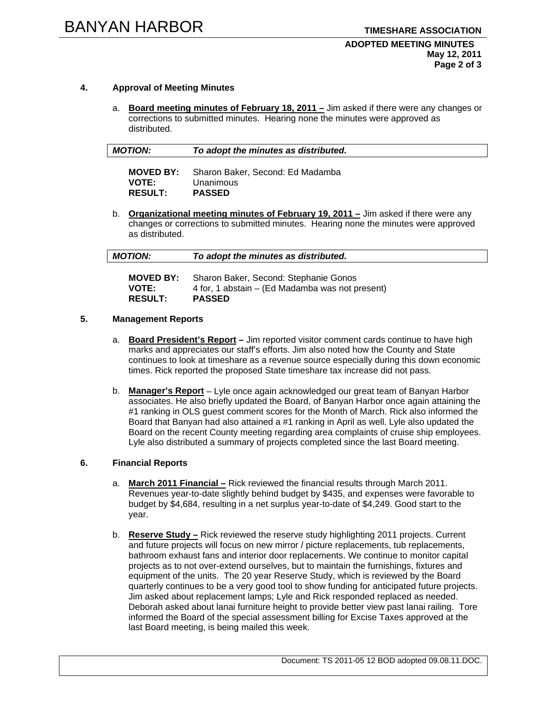### **ADOPTED MEETING MINUTES May 12, 2011 Page 2 of 3**

## **4. Approval of Meeting Minutes**

a. **Board meeting minutes of February 18, 2011 –** Jim asked if there were any changes or corrections to submitted minutes. Hearing none the minutes were approved as distributed.

| <b>MOTION:</b> | To adopt the minutes as distributed. |
|----------------|--------------------------------------|
|----------------|--------------------------------------|

| <b>MOVED BY:</b> | Sharon Baker, Second: Ed Madamba |
|------------------|----------------------------------|
| <b>VOTE:</b>     | Unanimous                        |
| <b>RESULT:</b>   | <b>PASSED</b>                    |

b. **Organizational meeting minutes of February 19, 2011 –** Jim asked if there were any changes or corrections to submitted minutes. Hearing none the minutes were approved as distributed.

| <b>MOTION:</b> | To adopt the minutes as distributed. |  |
|----------------|--------------------------------------|--|
|                | $ -$                                 |  |

| <b>MOVED BY:</b> | Sharon Baker, Second: Stephanie Gonos           |
|------------------|-------------------------------------------------|
| <b>VOTE:</b>     | 4 for, 1 abstain – (Ed Madamba was not present) |
| <b>RESULT:</b>   | <b>PASSED</b>                                   |

## **5. Management Reports**

- a. **Board President's Report** Jim reported visitor comment cards continue to have high marks and appreciates our staff's efforts. Jim also noted how the County and State continues to look at timeshare as a revenue source especially during this down economic times. Rick reported the proposed State timeshare tax increase did not pass.
- b. **Manager's Report** Lyle once again acknowledged our great team of Banyan Harbor associates. He also briefly updated the Board, of Banyan Harbor once again attaining the #1 ranking in OLS guest comment scores for the Month of March. Rick also informed the Board that Banyan had also attained a #1 ranking in April as well. Lyle also updated the Board on the recent County meeting regarding area complaints of cruise ship employees. Lyle also distributed a summary of projects completed since the last Board meeting.

## **6. Financial Reports**

- a. **March 2011 Financial –** Rick reviewed the financial results through March 2011. Revenues year-to-date slightly behind budget by \$435, and expenses were favorable to budget by \$4,684, resulting in a net surplus year-to-date of \$4,249. Good start to the year.
- b. **Reserve Study –** Rick reviewed the reserve study highlighting 2011 projects. Current and future projects will focus on new mirror / picture replacements, tub replacements, bathroom exhaust fans and interior door replacements. We continue to monitor capital projects as to not over-extend ourselves, but to maintain the furnishings, fixtures and equipment of the units. The 20 year Reserve Study, which is reviewed by the Board quarterly continues to be a very good tool to show funding for anticipated future projects. Jim asked about replacement lamps; Lyle and Rick responded replaced as needed. Deborah asked about lanai furniture height to provide better view past lanai railing. Tore informed the Board of the special assessment billing for Excise Taxes approved at the last Board meeting, is being mailed this week.